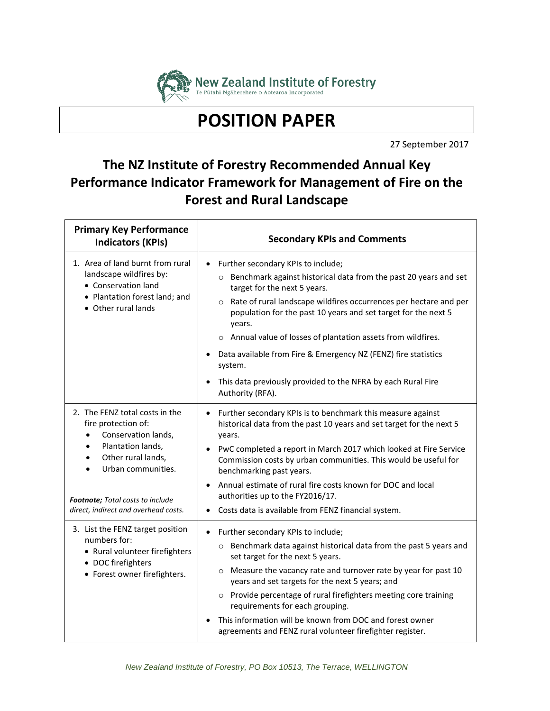

**POSITION PAPER**

27 September 2017

## **The NZ Institute of Forestry Recommended Annual Key Performance Indicator Framework for Management of Fire on the Forest and Rural Landscape**

| <b>Primary Key Performance</b><br><b>Indicators (KPIs)</b>                                                                                                                                                                                               | <b>Secondary KPIs and Comments</b>                                                                                                                                                                                                                                                                                                                                                                                                                                                                                            |
|----------------------------------------------------------------------------------------------------------------------------------------------------------------------------------------------------------------------------------------------------------|-------------------------------------------------------------------------------------------------------------------------------------------------------------------------------------------------------------------------------------------------------------------------------------------------------------------------------------------------------------------------------------------------------------------------------------------------------------------------------------------------------------------------------|
| 1. Area of land burnt from rural<br>landscape wildfires by:<br>• Conservation land<br>• Plantation forest land; and<br>• Other rural lands                                                                                                               | Further secondary KPIs to include;<br>o Benchmark against historical data from the past 20 years and set<br>target for the next 5 years.<br>o Rate of rural landscape wildfires occurrences per hectare and per<br>population for the past 10 years and set target for the next 5<br>years.<br>o Annual value of losses of plantation assets from wildfires.<br>Data available from Fire & Emergency NZ (FENZ) fire statistics<br>system.<br>This data previously provided to the NFRA by each Rural Fire<br>Authority (RFA). |
| 2. The FENZ total costs in the<br>fire protection of:<br>Conservation lands,<br>٠<br>Plantation lands,<br>$\bullet$<br>Other rural lands,<br>$\bullet$<br>Urban communities.<br>Footnote; Total costs to include<br>direct, indirect and overhead costs. | Further secondary KPIs is to benchmark this measure against<br>$\bullet$<br>historical data from the past 10 years and set target for the next 5<br>years.<br>PwC completed a report in March 2017 which looked at Fire Service<br>Commission costs by urban communities. This would be useful for<br>benchmarking past years.<br>Annual estimate of rural fire costs known for DOC and local<br>authorities up to the FY2016/17.<br>Costs data is available from FENZ financial system.                                      |
| 3. List the FENZ target position<br>numbers for:<br>• Rural volunteer firefighters<br>• DOC firefighters<br>• Forest owner firefighters.                                                                                                                 | Further secondary KPIs to include;<br>$\bullet$<br>o Benchmark data against historical data from the past 5 years and<br>set target for the next 5 years.<br>o Measure the vacancy rate and turnover rate by year for past 10<br>years and set targets for the next 5 years; and<br>o Provide percentage of rural firefighters meeting core training<br>requirements for each grouping.<br>This information will be known from DOC and forest owner<br>agreements and FENZ rural volunteer firefighter register.              |